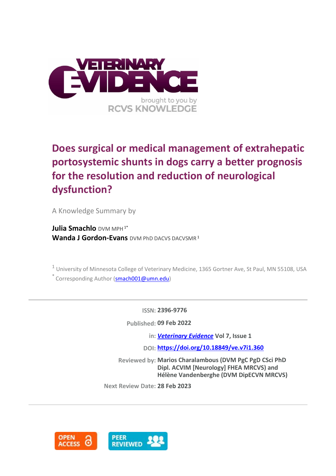

# **Does surgical or medical management of extrahepatic portosystemic shunts in dogs carry a better prognosis for the resolution and reduction of neurological dysfunction?**

A Knowledge Summary by

**Julia Smachlo** DVM MPH<sup>1\*</sup> **Wanda J Gordon-Evans** DVM PhD DACVS DACVSMR<sup>1</sup>

<sup>1</sup> University of Minnesota College of Veterinary Medicine, 1365 Gortner Ave, St Paul, MN 55108, USA \* Corresponding Author [\(smach001@umn.edu\)](smach001@umn.edu)

**ISSN: 2396-9776**

**Published: 09 Feb 2022**

**in:** *[Veterinary Evidence](https://veterinaryevidence.org/index.php/ve)* **Vol 7, Issue 1**

**DOI: <https://doi.org/10.18849/ve.v7i1.360>**

**Reviewed by: Marios Charalambous (DVM PgC PgD CSci PhD Dipl. ACVIM [Neurology] FHEA MRCVS) and Hélène Vandenberghe (DVM DipECVN MRCVS)**

**Next Review Date: 28 Feb 2023**

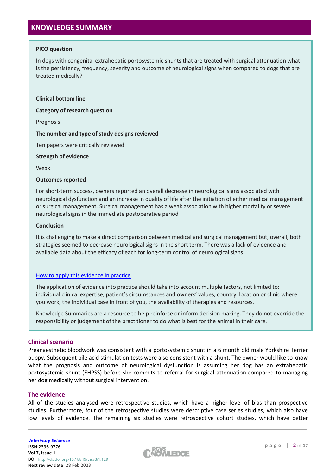# **KNOWLEDGE SUMMARY**

# **PICO question**

In dogs with congenital extrahepatic portosystemic shunts that are treated with surgical attenuation what is the persistency, frequency, severity and outcome of neurological signs when compared to dogs that are treated medically?

#### **Clinical bottom line**

**Category of research question**

Prognosis

# **The number and type of study designs reviewed**

Ten papers were critically reviewed

# **Strength of evidence**

Weak

# **Outcomes reported**

For short-term success, owners reported an overall decrease in neurological signs associated with neurological dysfunction and an increase in quality of life after the initiation of either medical management or surgical management. Surgical management has a weak association with higher mortality or severe neurological signs in the immediate postoperative period

# **Conclusion**

It is challenging to make a direct comparison between medical and surgical management but, overall, both strategies seemed to decrease neurological signs in the short term. There was a lack of evidence and available data about the efficacy of each for long-term control of neurological signs

# [How to apply this evidence in practice](https://learn.rcvsknowledge.org/mod/book/view.php?id=50)

The application of evidence into practice should take into account multiple factors, not limited to: individual clinical expertise, patient's circumstances and owners' values, country, location or clinic where you work, the individual case in front of you, the availability of therapies and resources.

Knowledge Summaries are a resource to help reinforce or inform decision making. They do not override the responsibility or judgement of the practitioner to do what is best for the animal in their care.

# **Clinical scenario**

Preanaesthetic bloodwork was consistent with a portosystemic shunt in a 6 month old male Yorkshire Terrier puppy. Subsequent bile acid stimulation tests were also consistent with a shunt. The owner would like to know what the prognosis and outcome of neurological dysfunction is assuming her dog has an extrahepatic portosystemic shunt (EHPSS) before she commits to referral for surgical attenuation compared to managing her dog medically without surgical intervention.

# **The evidence**

All of the studies analysed were retrospective studies, which have a higher level of bias than prospective studies. Furthermore, four of the retrospective studies were descriptive case series studies, which also have low levels of evidence. The remaining six studies were retrospective cohort studies, which have better

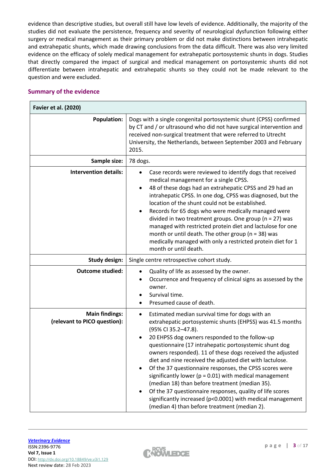evidence than descriptive studies, but overall still have low levels of evidence. Additionally, the majority of the studies did not evaluate the persistence, frequency and severity of neurological dysfunction following either surgery or medical management as their primary problem or did not make distinctions between intrahepatic and extrahepatic shunts, which made drawing conclusions from the data difficult. There was also very limited evidence on the efficacy of solely medical management for extrahepatic portosystemic shunts in dogs. Studies that directly compared the impact of surgical and medical management on portosystemic shunts did not differentiate between intrahepatic and extrahepatic shunts so they could not be made relevant to the question and were excluded.

# **Summary of the evidence**

| <b>Favier et al. (2020)</b>                           |                                                                                                                                                                                                                                                                                                                                                                                                                                                                                                                                                                                                                                                                                                                                                          |
|-------------------------------------------------------|----------------------------------------------------------------------------------------------------------------------------------------------------------------------------------------------------------------------------------------------------------------------------------------------------------------------------------------------------------------------------------------------------------------------------------------------------------------------------------------------------------------------------------------------------------------------------------------------------------------------------------------------------------------------------------------------------------------------------------------------------------|
| <b>Population:</b>                                    | Dogs with a single congenital portosystemic shunt (CPSS) confirmed<br>by CT and / or ultrasound who did not have surgical intervention and<br>received non-surgical treatment that were referred to Utrecht<br>University, the Netherlands, between September 2003 and February<br>2015.                                                                                                                                                                                                                                                                                                                                                                                                                                                                 |
| Sample size:                                          | 78 dogs.                                                                                                                                                                                                                                                                                                                                                                                                                                                                                                                                                                                                                                                                                                                                                 |
| <b>Intervention details:</b>                          | Case records were reviewed to identify dogs that received<br>$\bullet$<br>medical management for a single CPSS.<br>48 of these dogs had an extrahepatic CPSS and 29 had an<br>$\bullet$<br>intrahepatic CPSS. In one dog, CPSS was diagnosed, but the<br>location of the shunt could not be established.<br>Records for 65 dogs who were medically managed were<br>$\bullet$<br>divided in two treatment groups. One group ( $n = 27$ ) was<br>managed with restricted protein diet and lactulose for one<br>month or until death. The other group ( $n = 38$ ) was<br>medically managed with only a restricted protein diet for 1<br>month or until death.                                                                                              |
| <b>Study design:</b>                                  | Single centre retrospective cohort study.                                                                                                                                                                                                                                                                                                                                                                                                                                                                                                                                                                                                                                                                                                                |
| <b>Outcome studied:</b>                               | Quality of life as assessed by the owner.<br>Occurrence and frequency of clinical signs as assessed by the<br>owner.<br>Survival time.<br>Presumed cause of death.                                                                                                                                                                                                                                                                                                                                                                                                                                                                                                                                                                                       |
| <b>Main findings:</b><br>(relevant to PICO question): | Estimated median survival time for dogs with an<br>$\bullet$<br>extrahepatic portosystemic shunts (EHPSS) was 41.5 months<br>(95% CI 35.2-47.8).<br>20 EHPSS dog owners responded to the follow-up<br>$\bullet$<br>questionnaire (17 intrahepatic portosystemic shunt dog<br>owners responded). 11 of these dogs received the adjusted<br>diet and nine received the adjusted diet with lactulose.<br>Of the 37 questionnaire responses, the CPSS scores were<br>significantly lower ( $p = 0.01$ ) with medical management<br>(median 18) than before treatment (median 35).<br>Of the 37 questionnaire responses, quality of life scores<br>significantly increased (p<0.0001) with medical management<br>(median 4) than before treatment (median 2). |

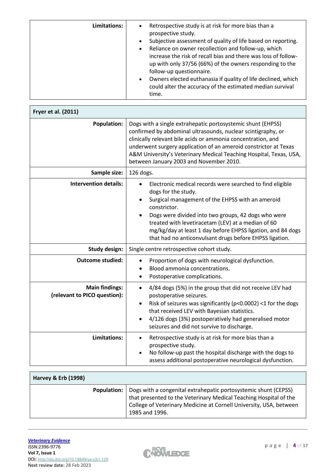| Limitations: | Retrospective study is at risk for more bias than a<br>٠<br>prospective study.<br>Subjective assessment of quality of life based on reporting.<br>$\bullet$<br>Reliance on owner recollection and follow-up, which<br>$\bullet$<br>increase the risk of recall bias and there was loss of follow-<br>up with only 37/56 (66%) of the owners responding to the<br>follow-up questionnaire.<br>Owners elected euthanasia if quality of life declined, which<br>$\bullet$<br>could alter the accuracy of the estimated median survival |
|--------------|-------------------------------------------------------------------------------------------------------------------------------------------------------------------------------------------------------------------------------------------------------------------------------------------------------------------------------------------------------------------------------------------------------------------------------------------------------------------------------------------------------------------------------------|
|              | time.                                                                                                                                                                                                                                                                                                                                                                                                                                                                                                                               |

| Fryer et al. (2011)                                   |                                                                                                                                                                                                                                                                                                                                                                                                          |
|-------------------------------------------------------|----------------------------------------------------------------------------------------------------------------------------------------------------------------------------------------------------------------------------------------------------------------------------------------------------------------------------------------------------------------------------------------------------------|
| <b>Population:</b>                                    | Dogs with a single extrahepatic portosystemic shunt (EHPSS)<br>confirmed by abdominal ultrasounds, nuclear scintigraphy, or<br>clinically relevant bile acids or ammonia concentration, and<br>underwent surgery application of an ameroid constrictor at Texas<br>A&M University's Veterinary Medical Teaching Hospital, Texas, USA,<br>between January 2003 and November 2010.                         |
| Sample size:                                          | 126 dogs.                                                                                                                                                                                                                                                                                                                                                                                                |
| <b>Intervention details:</b>                          | Electronic medical records were searched to find eligible<br>$\bullet$<br>dogs for the study.<br>Surgical management of the EHPSS with an ameroid<br>constrictor.<br>Dogs were divided into two groups, 42 dogs who were<br>treated with levetiracetam (LEV) at a median of 60<br>mg/kg/day at least 1 day before EHPSS ligation, and 84 dogs<br>that had no anticonvulsant drugs before EHPSS ligation. |
| <b>Study design:</b>                                  | Single centre retrospective cohort study.                                                                                                                                                                                                                                                                                                                                                                |
| <b>Outcome studied:</b>                               | Proportion of dogs with neurological dysfunction.<br>$\bullet$<br>Blood ammonia concentrations.<br>Postoperative complications.<br>٠                                                                                                                                                                                                                                                                     |
| <b>Main findings:</b><br>(relevant to PICO question): | 4/84 dogs (5%) in the group that did not receive LEV had<br>$\bullet$<br>postoperative seizures.<br>Risk of seizures was significantly (p<0.0002) <1 for the dogs<br>$\bullet$<br>that received LEV with Bayesian statistics.<br>4/126 dogs (3%) postoperatively had generalised motor<br>seizures and did not survive to discharge.                                                                     |
| Limitations:                                          | Retrospective study is at risk for more bias than a<br>$\bullet$<br>prospective study.<br>No follow-up past the hospital discharge with the dogs to<br>$\bullet$<br>assess additional postoperative neurological dysfunction.                                                                                                                                                                            |

| <b>Harvey &amp; Erb (1998)</b> |                    |                                                                                                                                                                                                                              |
|--------------------------------|--------------------|------------------------------------------------------------------------------------------------------------------------------------------------------------------------------------------------------------------------------|
|                                | <b>Population:</b> | Dogs with a congenital extrahepatic portosystemic shunt (CEPSS)<br>that presented to the Veterinary Medical Teaching Hospital of the<br>College of Veterinary Medicine at Cornell University, USA, between<br>1985 and 1996. |

 $\Gamma$ 

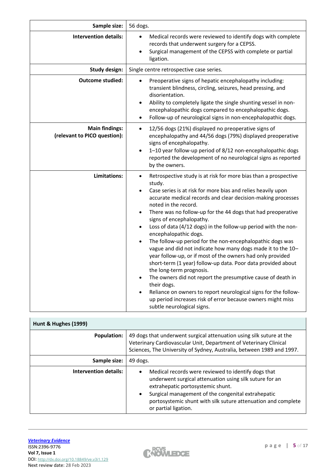| Sample size:                                          | 56 dogs.                                                                                                                                                                                                                                                                                                                                                                                                                                                                                                                                                                                                                                                                                                                                                                                                                                                                                                                                                                               |
|-------------------------------------------------------|----------------------------------------------------------------------------------------------------------------------------------------------------------------------------------------------------------------------------------------------------------------------------------------------------------------------------------------------------------------------------------------------------------------------------------------------------------------------------------------------------------------------------------------------------------------------------------------------------------------------------------------------------------------------------------------------------------------------------------------------------------------------------------------------------------------------------------------------------------------------------------------------------------------------------------------------------------------------------------------|
| <b>Intervention details:</b>                          | Medical records were reviewed to identify dogs with complete<br>records that underwent surgery for a CEPSS.<br>Surgical management of the CEPSS with complete or partial<br>ligation.                                                                                                                                                                                                                                                                                                                                                                                                                                                                                                                                                                                                                                                                                                                                                                                                  |
| <b>Study design:</b>                                  | Single centre retrospective case series.                                                                                                                                                                                                                                                                                                                                                                                                                                                                                                                                                                                                                                                                                                                                                                                                                                                                                                                                               |
| <b>Outcome studied:</b>                               | Preoperative signs of hepatic encephalopathy including:<br>$\bullet$<br>transient blindness, circling, seizures, head pressing, and<br>disorientation.<br>Ability to completely ligate the single shunting vessel in non-<br>$\bullet$<br>encephalopathic dogs compared to encephalopathic dogs.<br>Follow-up of neurological signs in non-encephalopathic dogs.<br>$\bullet$                                                                                                                                                                                                                                                                                                                                                                                                                                                                                                                                                                                                          |
| <b>Main findings:</b><br>(relevant to PICO question): | 12/56 dogs (21%) displayed no preoperative signs of<br>encephalopathy and 44/56 dogs (79%) displayed preoperative<br>signs of encephalopathy.<br>1-10 year follow-up period of 8/12 non-encephalopathic dogs<br>$\bullet$<br>reported the development of no neurological signs as reported<br>by the owners.                                                                                                                                                                                                                                                                                                                                                                                                                                                                                                                                                                                                                                                                           |
| Limitations:                                          | Retrospective study is at risk for more bias than a prospective<br>study.<br>Case series is at risk for more bias and relies heavily upon<br>accurate medical records and clear decision-making processes<br>noted in the record.<br>There was no follow-up for the 44 dogs that had preoperative<br>$\bullet$<br>signs of encephalopathy.<br>Loss of data (4/12 dogs) in the follow-up period with the non-<br>encephalopathic dogs.<br>The follow-up period for the non-encephalopathic dogs was<br>vague and did not indicate how many dogs made it to the 10-<br>year follow-up, or if most of the owners had only provided<br>short-term (1 year) follow-up data. Poor data provided about<br>the long-term prognosis.<br>The owners did not report the presumptive cause of death in<br>$\bullet$<br>their dogs.<br>Reliance on owners to report neurological signs for the follow-<br>up period increases risk of error because owners might miss<br>subtle neurological signs. |

| Hunt & Hughes (1999)  |                                                                                                                                                                                                                                                                                                                              |
|-----------------------|------------------------------------------------------------------------------------------------------------------------------------------------------------------------------------------------------------------------------------------------------------------------------------------------------------------------------|
| <b>Population:</b>    | 49 dogs that underwent surgical attenuation using silk suture at the<br>Veterinary Cardiovascular Unit, Department of Veterinary Clinical<br>Sciences, The University of Sydney, Australia, between 1989 and 1997.                                                                                                           |
| Sample size:          | 49 dogs.                                                                                                                                                                                                                                                                                                                     |
| Intervention details: | Medical records were reviewed to identify dogs that<br>$\bullet$<br>underwent surgical attenuation using silk suture for an<br>extrahepatic portosystemic shunt.<br>Surgical management of the congenital extrahepatic<br>$\bullet$<br>portosystemic shunt with silk suture attenuation and complete<br>or partial ligation. |

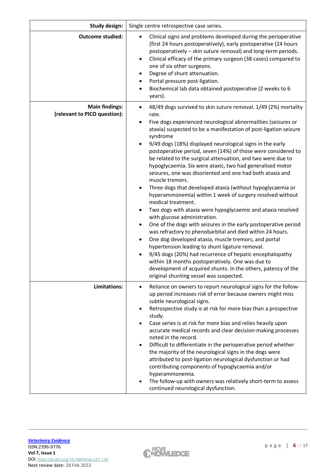| <b>Study design:</b>                                  | Single centre retrospective case series.                                                                                                                                                                                                                                                                                                                                                                                                                                                                                                                                                                                                                                                                                                                                                                                                                                                                                                                                                                                                                                                                                                                                                                                                                                                                                                    |
|-------------------------------------------------------|---------------------------------------------------------------------------------------------------------------------------------------------------------------------------------------------------------------------------------------------------------------------------------------------------------------------------------------------------------------------------------------------------------------------------------------------------------------------------------------------------------------------------------------------------------------------------------------------------------------------------------------------------------------------------------------------------------------------------------------------------------------------------------------------------------------------------------------------------------------------------------------------------------------------------------------------------------------------------------------------------------------------------------------------------------------------------------------------------------------------------------------------------------------------------------------------------------------------------------------------------------------------------------------------------------------------------------------------|
| <b>Outcome studied:</b>                               | Clinical signs and problems developed during the perioperative<br>(first 24 hours postoperatively), early postoperative (24 hours<br>postoperatively - skin suture removal) and long-term periods.<br>Clinical efficacy of the primary surgeon (38 cases) compared to<br>$\bullet$<br>one of six other surgeons.<br>Degree of shunt attenuation.<br>٠<br>Portal pressure post-ligation.<br>٠<br>Biochemical lab data obtained postoperative (2 weeks to 6<br>٠<br>years).                                                                                                                                                                                                                                                                                                                                                                                                                                                                                                                                                                                                                                                                                                                                                                                                                                                                   |
| <b>Main findings:</b><br>(relevant to PICO question): | 48/49 dogs survived to skin suture removal. 1/49 (2%) mortality<br>$\bullet$<br>rate.<br>Five dogs experienced neurological abnormalities (seizures or<br>ataxia) suspected to be a manifestation of post-ligation seizure<br>syndrome<br>9/49 dogs (18%) displayed neurological signs in the early<br>$\bullet$<br>postoperative period, seven (14%) of those were considered to<br>be related to the surgical attenuation, and two were due to<br>hypoglycaemia. Six were ataxic, two had generalised motor<br>seizures, one was disoriented and one had both ataxia and<br>muscle tremors.<br>Three dogs that developed ataxia (without hypoglycaemia or<br>٠<br>hyperammonemia) within 1 week of surgery resolved without<br>medical treatment.<br>Two dogs with ataxia were hypoglycaemic and ataxia resolved<br>with glucose administration.<br>One of the dogs with seizures in the early postoperative period<br>$\bullet$<br>was refractory to phenobarbital and died within 24 hours.<br>One dog developed ataxia, muscle tremors, and portal<br>٠<br>hypertension leading to shunt ligature removal.<br>9/45 dogs (20%) had recurrence of hepatic encephalopathy<br>within 18 months postoperatively. One was due to<br>development of acquired shunts. In the others, patency of the<br>original shunting vessel was suspected. |
| Limitations:                                          | Reliance on owners to report neurological signs for the follow-<br>٠<br>up period increases risk of error because owners might miss<br>subtle neurological signs.<br>Retrospective study is at risk for more bias than a prospective<br>study.<br>Case series is at risk for more bias and relies heavily upon<br>$\bullet$<br>accurate medical records and clear decision-making processes<br>noted in the record.<br>Difficult to differentiate in the perioperative period whether<br>$\bullet$<br>the majority of the neurological signs in the dogs were<br>attributed to post-ligation neurological dysfunction or had<br>contributing components of hypoglycaemia and/or<br>hyperammonemia.<br>The follow-up with owners was relatively short-term to assess<br>continued neurological dysfunction.                                                                                                                                                                                                                                                                                                                                                                                                                                                                                                                                  |

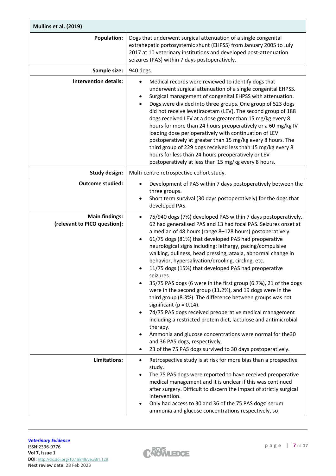| Mullins et al. (2019)                                 |                                                                                                                                                                                                                                                                                                                                                                                                                                                                                                                                                                                                                                                                                                                                                                                                                                                                                                                                                                                                                                                                            |
|-------------------------------------------------------|----------------------------------------------------------------------------------------------------------------------------------------------------------------------------------------------------------------------------------------------------------------------------------------------------------------------------------------------------------------------------------------------------------------------------------------------------------------------------------------------------------------------------------------------------------------------------------------------------------------------------------------------------------------------------------------------------------------------------------------------------------------------------------------------------------------------------------------------------------------------------------------------------------------------------------------------------------------------------------------------------------------------------------------------------------------------------|
| <b>Population:</b>                                    | Dogs that underwent surgical attenuation of a single congenital<br>extrahepatic portosystemic shunt (EHPSS) from January 2005 to July<br>2017 at 10 veterinary institutions and developed post-attenuation<br>seizures (PAS) within 7 days postoperatively.                                                                                                                                                                                                                                                                                                                                                                                                                                                                                                                                                                                                                                                                                                                                                                                                                |
| Sample size:                                          | 940 dogs.                                                                                                                                                                                                                                                                                                                                                                                                                                                                                                                                                                                                                                                                                                                                                                                                                                                                                                                                                                                                                                                                  |
| <b>Intervention details:</b>                          | Medical records were reviewed to identify dogs that<br>$\bullet$<br>underwent surgical attenuation of a single congenital EHPSS.<br>Surgical management of congenital EHPSS with attenuation.<br>$\bullet$<br>Dogs were divided into three groups. One group of 523 dogs<br>did not receive levetiracetam (LEV). The second group of 188<br>dogs received LEV at a dose greater than 15 mg/kg every 8<br>hours for more than 24 hours preoperatively or a 60 mg/kg IV<br>loading dose perioperatively with continuation of LEV<br>postoperatively at greater than 15 mg/kg every 8 hours. The<br>third group of 229 dogs received less than 15 mg/kg every 8<br>hours for less than 24 hours preoperatively or LEV<br>postoperatively at less than 15 mg/kg every 8 hours.                                                                                                                                                                                                                                                                                                 |
| <b>Study design:</b>                                  | Multi-centre retrospective cohort study.                                                                                                                                                                                                                                                                                                                                                                                                                                                                                                                                                                                                                                                                                                                                                                                                                                                                                                                                                                                                                                   |
| <b>Outcome studied:</b>                               | Development of PAS within 7 days postoperatively between the<br>$\bullet$<br>three groups.<br>Short term survival (30 days postoperatively) for the dogs that<br>٠<br>developed PAS.                                                                                                                                                                                                                                                                                                                                                                                                                                                                                                                                                                                                                                                                                                                                                                                                                                                                                       |
| <b>Main findings:</b><br>(relevant to PICO question): | 75/940 dogs (7%) developed PAS within 7 days postoperatively.<br>$\bullet$<br>62 had generalised PAS and 13 had focal PAS. Seizures onset at<br>a median of 48 hours (range 8-128 hours) postoperatively.<br>61/75 dogs (81%) that developed PAS had preoperative<br>neurological signs including: lethargy, pacing/compulsive<br>walking, dullness, head pressing, ataxia, abnormal change in<br>behavior, hypersalivation/drooling, circling, etc.<br>11/75 dogs (15%) that developed PAS had preoperative<br>seizures.<br>35/75 PAS dogs (6 were in the first group (6.7%), 21 of the dogs<br>were in the second group (11.2%), and 19 dogs were in the<br>third group (8.3%). The difference between groups was not<br>significant ( $p = 0.14$ ).<br>74/75 PAS dogs received preoperative medical management<br>$\bullet$<br>including a restricted protein diet, lactulose and antimicrobial<br>therapy.<br>Ammonia and glucose concentrations were normal for the30<br>and 36 PAS dogs, respectively.<br>23 of the 75 PAS dogs survived to 30 days postoperatively. |
| Limitations:                                          | Retrospective study is at risk for more bias than a prospective<br>٠<br>study.<br>The 75 PAS dogs were reported to have received preoperative<br>$\bullet$<br>medical management and it is unclear if this was continued<br>after surgery. Difficult to discern the impact of strictly surgical<br>intervention.<br>Only had access to 30 and 36 of the 75 PAS dogs' serum<br>ammonia and glucose concentrations respectively, so                                                                                                                                                                                                                                                                                                                                                                                                                                                                                                                                                                                                                                          |

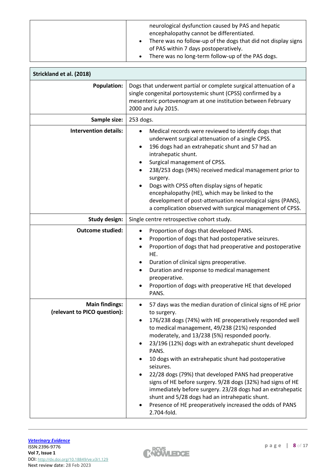| neurological dysfunction caused by PAS and hepatic<br>encephalopathy cannot be differentiated.<br>There was no follow-up of the dogs that did not display signs<br>of PAS within 7 days postoperatively. |
|----------------------------------------------------------------------------------------------------------------------------------------------------------------------------------------------------------|
| There was no long-term follow-up of the PAS dogs.<br>$\bullet$                                                                                                                                           |

| Strickland et al. (2018)                              |                                                                                                                                                                                                                                                                                                                                                                                                                                                                                                                                                                                                                                                                                                       |
|-------------------------------------------------------|-------------------------------------------------------------------------------------------------------------------------------------------------------------------------------------------------------------------------------------------------------------------------------------------------------------------------------------------------------------------------------------------------------------------------------------------------------------------------------------------------------------------------------------------------------------------------------------------------------------------------------------------------------------------------------------------------------|
| <b>Population:</b>                                    | Dogs that underwent partial or complete surgical attenuation of a<br>single congenital portosystemic shunt (CPSS) confirmed by a<br>mesenteric portovenogram at one institution between February<br>2000 and July 2015.                                                                                                                                                                                                                                                                                                                                                                                                                                                                               |
| Sample size:                                          | 253 dogs.                                                                                                                                                                                                                                                                                                                                                                                                                                                                                                                                                                                                                                                                                             |
| <b>Intervention details:</b>                          | Medical records were reviewed to identify dogs that<br>$\bullet$<br>underwent surgical attenuation of a single CPSS.<br>196 dogs had an extrahepatic shunt and 57 had an<br>intrahepatic shunt.<br>Surgical management of CPSS.<br>238/253 dogs (94%) received medical management prior to<br>surgery.<br>Dogs with CPSS often display signs of hepatic<br>encephalopathy (HE), which may be linked to the<br>development of post-attenuation neurological signs (PANS),<br>a complication observed with surgical management of CPSS.                                                                                                                                                                 |
| <b>Study design:</b>                                  | Single centre retrospective cohort study.                                                                                                                                                                                                                                                                                                                                                                                                                                                                                                                                                                                                                                                             |
| <b>Outcome studied:</b>                               | Proportion of dogs that developed PANS.<br>Proportion of dogs that had postoperative seizures.<br>Proportion of dogs that had preoperative and postoperative<br>HE.<br>Duration of clinical signs preoperative.<br>Duration and response to medical management<br>preoperative.<br>Proportion of dogs with preoperative HE that developed<br>PANS.                                                                                                                                                                                                                                                                                                                                                    |
| <b>Main findings:</b><br>(relevant to PICO question): | 57 days was the median duration of clinical signs of HE prior<br>to surgery.<br>176/238 dogs (74%) with HE preoperatively responded well<br>to medical management, 49/238 (21%) responded<br>moderately, and 13/238 (5%) responded poorly.<br>23/196 (12%) dogs with an extrahepatic shunt developed<br>PANS.<br>10 dogs with an extrahepatic shunt had postoperative<br>seizures.<br>22/28 dogs (79%) that developed PANS had preoperative<br>signs of HE before surgery. 9/28 dogs (32%) had signs of HE<br>immediately before surgery. 23/28 dogs had an extrahepatic<br>shunt and 5/28 dogs had an intrahepatic shunt.<br>Presence of HE preoperatively increased the odds of PANS<br>2.704-fold. |

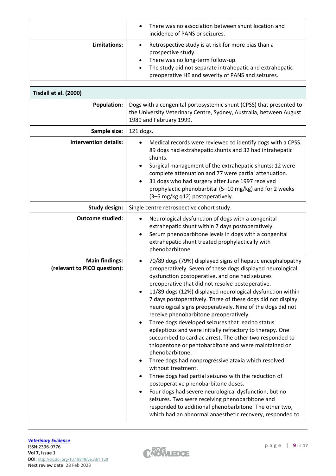|              | There was no association between shunt location and<br>incidence of PANS or seizures.                                                                                                                                                                                   |
|--------------|-------------------------------------------------------------------------------------------------------------------------------------------------------------------------------------------------------------------------------------------------------------------------|
| Limitations: | Retrospective study is at risk for more bias than a<br>$\bullet$<br>prospective study.<br>There was no long-term follow-up.<br>$\bullet$<br>The study did not separate intrahepatic and extrahepatic<br>$\bullet$<br>preoperative HE and severity of PANS and seizures. |

| Tisdall et al. (2000)                                 |                                                                                                                                                                                                                                                                                                                                                                                                                                                                                                                                                                                                                                                                                                                                                                                                                                                                                                                                                                                                                                                                                                                                                        |
|-------------------------------------------------------|--------------------------------------------------------------------------------------------------------------------------------------------------------------------------------------------------------------------------------------------------------------------------------------------------------------------------------------------------------------------------------------------------------------------------------------------------------------------------------------------------------------------------------------------------------------------------------------------------------------------------------------------------------------------------------------------------------------------------------------------------------------------------------------------------------------------------------------------------------------------------------------------------------------------------------------------------------------------------------------------------------------------------------------------------------------------------------------------------------------------------------------------------------|
| <b>Population:</b>                                    | Dogs with a congenital portosystemic shunt (CPSS) that presented to<br>the University Veterinary Centre, Sydney, Australia, between August<br>1989 and February 1999.                                                                                                                                                                                                                                                                                                                                                                                                                                                                                                                                                                                                                                                                                                                                                                                                                                                                                                                                                                                  |
| Sample size:                                          | 121 dogs.                                                                                                                                                                                                                                                                                                                                                                                                                                                                                                                                                                                                                                                                                                                                                                                                                                                                                                                                                                                                                                                                                                                                              |
| <b>Intervention details:</b>                          | Medical records were reviewed to identify dogs with a CPSS.<br>$\bullet$<br>89 dogs had extrahepatic shunts and 32 had intrahepatic<br>shunts.<br>Surgical management of the extrahepatic shunts: 12 were<br>complete attenuation and 77 were partial attenuation.<br>31 dogs who had surgery after June 1997 received<br>prophylactic phenobarbital (5-10 mg/kg) and for 2 weeks<br>(3-5 mg/kg q12) postoperatively.                                                                                                                                                                                                                                                                                                                                                                                                                                                                                                                                                                                                                                                                                                                                  |
| <b>Study design:</b>                                  | Single centre retrospective cohort study.                                                                                                                                                                                                                                                                                                                                                                                                                                                                                                                                                                                                                                                                                                                                                                                                                                                                                                                                                                                                                                                                                                              |
| <b>Outcome studied:</b>                               | Neurological dysfunction of dogs with a congenital<br>extrahepatic shunt within 7 days postoperatively.<br>Serum phenobarbitone levels in dogs with a congenital<br>extrahepatic shunt treated prophylactically with<br>phenobarbitone.                                                                                                                                                                                                                                                                                                                                                                                                                                                                                                                                                                                                                                                                                                                                                                                                                                                                                                                |
| <b>Main findings:</b><br>(relevant to PICO question): | 70/89 dogs (79%) displayed signs of hepatic encephalopathy<br>٠<br>preoperatively. Seven of these dogs displayed neurological<br>dysfunction postoperative, and one had seizures<br>preoperative that did not resolve postoperative.<br>11/89 dogs (12%) displayed neurological dysfunction within<br>7 days postoperatively. Three of these dogs did not display<br>neurological signs preoperatively. Nine of the dogs did not<br>receive phenobarbitone preoperatively.<br>Three dogs developed seizures that lead to status<br>epilepticus and were initially refractory to therapy. One<br>succumbed to cardiac arrest. The other two responded to<br>thiopentone or pentobarbitone and were maintained on<br>phenobarbitone.<br>Three dogs had nonprogressive ataxia which resolved<br>without treatment.<br>Three dogs had partial seizures with the reduction of<br>٠<br>postoperative phenobarbitone doses.<br>Four dogs had severe neurological dysfunction, but no<br>seizures. Two were receiving phenobarbitone and<br>responded to additional phenobarbitone. The other two,<br>which had an abnormal anaesthetic recovery, responded to |

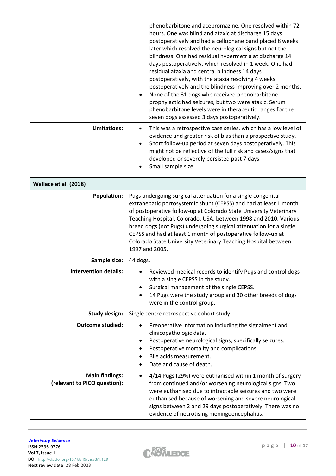|              | phenobarbitone and acepromazine. One resolved within 72<br>hours. One was blind and ataxic at discharge 15 days<br>postoperatively and had a cellophane band placed 8 weeks<br>later which resolved the neurological signs but not the<br>blindness. One had residual hypermetria at discharge 14<br>days postoperatively, which resolved in 1 week. One had<br>residual ataxia and central blindness 14 days<br>postoperatively, with the ataxia resolving 4 weeks<br>postoperatively and the blindness improving over 2 months.<br>None of the 31 dogs who received phenobarbitone<br>$\bullet$<br>prophylactic had seizures, but two were ataxic. Serum<br>phenobarbitone levels were in therapeutic ranges for the<br>seven dogs assessed 3 days postoperatively. |
|--------------|-----------------------------------------------------------------------------------------------------------------------------------------------------------------------------------------------------------------------------------------------------------------------------------------------------------------------------------------------------------------------------------------------------------------------------------------------------------------------------------------------------------------------------------------------------------------------------------------------------------------------------------------------------------------------------------------------------------------------------------------------------------------------|
| Limitations: | This was a retrospective case series, which has a low level of<br>evidence and greater risk of bias than a prospective study.<br>Short follow-up period at seven days postoperatively. This<br>$\bullet$<br>might not be reflective of the full risk and cases/signs that<br>developed or severely persisted past 7 days.<br>Small sample size.                                                                                                                                                                                                                                                                                                                                                                                                                       |

| Wallace et al. (2018)                                 |                                                                                                                                                                                                                                                                                                                                                                                                                                                                                                       |  |  |  |  |
|-------------------------------------------------------|-------------------------------------------------------------------------------------------------------------------------------------------------------------------------------------------------------------------------------------------------------------------------------------------------------------------------------------------------------------------------------------------------------------------------------------------------------------------------------------------------------|--|--|--|--|
| <b>Population:</b>                                    | Pugs undergoing surgical attenuation for a single congenital<br>extrahepatic portosystemic shunt (CEPSS) and had at least 1 month<br>of postoperative follow-up at Colorado State University Veterinary<br>Teaching Hospital, Colorado, USA, between 1998 and 2010. Various<br>breed dogs (not Pugs) undergoing surgical attenuation for a single<br>CEPSS and had at least 1 month of postoperative follow-up at<br>Colorado State University Veterinary Teaching Hospital between<br>1997 and 2005. |  |  |  |  |
| Sample size:                                          | 44 dogs.                                                                                                                                                                                                                                                                                                                                                                                                                                                                                              |  |  |  |  |
| <b>Intervention details:</b>                          | Reviewed medical records to identify Pugs and control dogs<br>$\bullet$<br>with a single CEPSS in the study.<br>Surgical management of the single CEPSS.<br>14 Pugs were the study group and 30 other breeds of dogs<br>were in the control group.                                                                                                                                                                                                                                                    |  |  |  |  |
| Study design:                                         | Single centre retrospective cohort study.                                                                                                                                                                                                                                                                                                                                                                                                                                                             |  |  |  |  |
| <b>Outcome studied:</b>                               | Preoperative information including the signalment and<br>$\bullet$<br>clinicopathologic data.<br>Postoperative neurological signs, specifically seizures.<br>٠<br>Postoperative mortality and complications.<br>Bile acids measurement.<br>Date and cause of death.                                                                                                                                                                                                                                   |  |  |  |  |
| <b>Main findings:</b><br>(relevant to PICO question): | 4/14 Pugs (29%) were euthanised within 1 month of surgery<br>$\bullet$<br>from continued and/or worsening neurological signs. Two<br>were euthanised due to intractable seizures and two were<br>euthanised because of worsening and severe neurological<br>signs between 2 and 29 days postoperatively. There was no<br>evidence of necrotising meningoencephalitis.                                                                                                                                 |  |  |  |  |

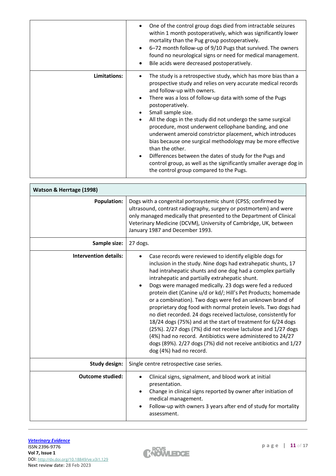|              | One of the control group dogs died from intractable seizures<br>within 1 month postoperatively, which was significantly lower<br>mortality than the Pug group postoperatively.<br>6-72 month follow-up of 9/10 Pugs that survived. The owners<br>found no neurological signs or need for medical management.<br>Bile acids were decreased postoperatively.                                                                                                                                                                                                                                                                                                                                                                                            |
|--------------|-------------------------------------------------------------------------------------------------------------------------------------------------------------------------------------------------------------------------------------------------------------------------------------------------------------------------------------------------------------------------------------------------------------------------------------------------------------------------------------------------------------------------------------------------------------------------------------------------------------------------------------------------------------------------------------------------------------------------------------------------------|
| Limitations: | The study is a retrospective study, which has more bias than a<br>prospective study and relies on very accurate medical records<br>and follow-up with owners.<br>There was a loss of follow-up data with some of the Pugs<br>٠<br>postoperatively.<br>Small sample size.<br>All the dogs in the study did not undergo the same surgical<br>$\bullet$<br>procedure, most underwent cellophane banding, and one<br>underwent ameroid constrictor placement, which introduces<br>bias because one surgical methodology may be more effective<br>than the other.<br>Differences between the dates of study for the Pugs and<br>$\bullet$<br>control group, as well as the significantly smaller average dog in<br>the control group compared to the Pugs. |

| Watson & Herrtage (1998)     |                                                                                                                                                                                                                                                                                                                                                                                                                                                                                                                                                                                                                                                                                                                                                                                                                                                                                  |  |  |  |  |
|------------------------------|----------------------------------------------------------------------------------------------------------------------------------------------------------------------------------------------------------------------------------------------------------------------------------------------------------------------------------------------------------------------------------------------------------------------------------------------------------------------------------------------------------------------------------------------------------------------------------------------------------------------------------------------------------------------------------------------------------------------------------------------------------------------------------------------------------------------------------------------------------------------------------|--|--|--|--|
| <b>Population:</b>           | Dogs with a congenital portosystemic shunt (CPSS; confirmed by<br>ultrasound, contrast radiography, surgery or postmortem) and were<br>only managed medically that presented to the Department of Clinical<br>Veterinary Medicine (DCVM), University of Cambridge, UK, between<br>January 1987 and December 1993.                                                                                                                                                                                                                                                                                                                                                                                                                                                                                                                                                                |  |  |  |  |
| Sample size:                 | 27 dogs.                                                                                                                                                                                                                                                                                                                                                                                                                                                                                                                                                                                                                                                                                                                                                                                                                                                                         |  |  |  |  |
| <b>Intervention details:</b> | Case records were reviewed to identify eligible dogs for<br>inclusion in the study. Nine dogs had extrahepatic shunts, 17<br>had intrahepatic shunts and one dog had a complex partially<br>intrahepatic and partially extrahepatic shunt.<br>Dogs were managed medically. 23 dogs were fed a reduced<br>$\bullet$<br>protein diet (Canine u/d or kd/; Hill's Pet Products; homemade<br>or a combination). Two dogs were fed an unknown brand of<br>proprietary dog food with normal protein levels. Two dogs had<br>no diet recorded. 24 dogs received lactulose, consistently for<br>18/24 dogs (75%) and at the start of treatment for 6/24 dogs<br>(25%). 2/27 dogs (7%) did not receive lactulose and 1/27 dogs<br>(4%) had no record. Antibiotics were administered to 24/27<br>dogs (89%). 2/27 dogs (7%) did not receive antibiotics and 1/27<br>dog (4%) had no record. |  |  |  |  |
| <b>Study design:</b>         | Single centre retrospective case series.                                                                                                                                                                                                                                                                                                                                                                                                                                                                                                                                                                                                                                                                                                                                                                                                                                         |  |  |  |  |
| <b>Outcome studied:</b>      | Clinical signs, signalment, and blood work at initial<br>presentation.<br>Change in clinical signs reported by owner after initiation of<br>medical management.<br>Follow-up with owners 3 years after end of study for mortality<br>assessment.                                                                                                                                                                                                                                                                                                                                                                                                                                                                                                                                                                                                                                 |  |  |  |  |

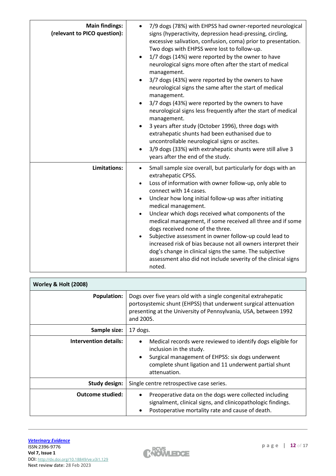| <b>Main findings:</b><br>(relevant to PICO question): | 7/9 dogs (78%) with EHPSS had owner-reported neurological<br>signs (hyperactivity, depression head-pressing, circling,<br>excessive salivation, confusion, coma) prior to presentation.<br>Two dogs with EHPSS were lost to follow-up.<br>1/7 dogs (14%) were reported by the owner to have<br>neurological signs more often after the start of medical<br>management.<br>3/7 dogs (43%) were reported by the owners to have<br>neurological signs the same after the start of medical<br>management.<br>3/7 dogs (43%) were reported by the owners to have<br>neurological signs less frequently after the start of medical<br>management.<br>3 years after study (October 1996), three dogs with<br>$\bullet$<br>extrahepatic shunts had been euthanised due to<br>uncontrollable neurological signs or ascites.<br>3/9 dogs (33%) with extrahepatic shunts were still alive 3 |
|-------------------------------------------------------|----------------------------------------------------------------------------------------------------------------------------------------------------------------------------------------------------------------------------------------------------------------------------------------------------------------------------------------------------------------------------------------------------------------------------------------------------------------------------------------------------------------------------------------------------------------------------------------------------------------------------------------------------------------------------------------------------------------------------------------------------------------------------------------------------------------------------------------------------------------------------------|
| Limitations:                                          | years after the end of the study.<br>Small sample size overall, but particularly for dogs with an<br>extrahepatic CPSS.<br>Loss of information with owner follow-up, only able to<br>$\bullet$<br>connect with 14 cases.<br>Unclear how long initial follow-up was after initiating<br>$\bullet$<br>medical management.<br>Unclear which dogs received what components of the<br>$\bullet$<br>medical management, if some received all three and if some<br>dogs received none of the three.<br>Subjective assessment in owner follow-up could lead to<br>increased risk of bias because not all owners interpret their<br>dog's change in clinical signs the same. The subjective<br>assessment also did not include severity of the clinical signs<br>noted.                                                                                                                   |

| Worley & Holt (2008)         |                                                                                                                                                                                                                                   |  |  |
|------------------------------|-----------------------------------------------------------------------------------------------------------------------------------------------------------------------------------------------------------------------------------|--|--|
| <b>Population:</b>           | Dogs over five years old with a single congenital extrahepatic<br>portosystemic shunt (EHPSS) that underwent surgical attenuation<br>presenting at the University of Pennsylvania, USA, between 1992<br>and 2005.                 |  |  |
| Sample size:                 | 17 dogs.                                                                                                                                                                                                                          |  |  |
| <b>Intervention details:</b> | Medical records were reviewed to identify dogs eligible for<br>inclusion in the study.<br>Surgical management of EHPSS: six dogs underwent<br>$\bullet$<br>complete shunt ligation and 11 underwent partial shunt<br>attenuation. |  |  |
| Study design:                | Single centre retrospective case series.                                                                                                                                                                                          |  |  |
| Outcome studied:             | Preoperative data on the dogs were collected including<br>$\bullet$<br>signalment, clinical signs, and clinicopathologic findings.<br>Postoperative mortality rate and cause of death.                                            |  |  |

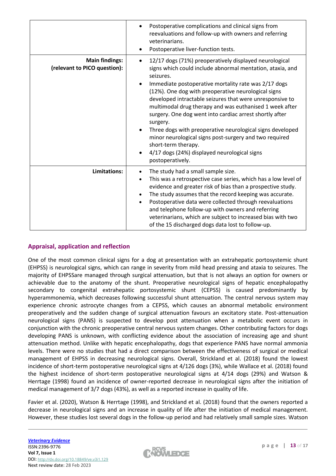|                                                       | Postoperative complications and clinical signs from<br>reevaluations and follow-up with owners and referring<br>veterinarians.<br>Postoperative liver-function tests.<br>٠                                                                                                                                                                                                                                                                                                                                                                                                                                                                                                   |  |
|-------------------------------------------------------|------------------------------------------------------------------------------------------------------------------------------------------------------------------------------------------------------------------------------------------------------------------------------------------------------------------------------------------------------------------------------------------------------------------------------------------------------------------------------------------------------------------------------------------------------------------------------------------------------------------------------------------------------------------------------|--|
| <b>Main findings:</b><br>(relevant to PICO question): | 12/17 dogs (71%) preoperatively displayed neurological<br>$\bullet$<br>signs which could include abnormal mentation, ataxia, and<br>seizures.<br>Immediate postoperative mortality rate was 2/17 dogs<br>(12%). One dog with preoperative neurological signs<br>developed intractable seizures that were unresponsive to<br>multimodal drug therapy and was euthanised 1 week after<br>surgery. One dog went into cardiac arrest shortly after<br>surgery.<br>Three dogs with preoperative neurological signs developed<br>minor neurological signs post-surgery and two required<br>short-term therapy.<br>4/17 dogs (24%) displayed neurological signs<br>postoperatively. |  |
| <b>Limitations:</b>                                   | The study had a small sample size.<br>$\bullet$<br>This was a retrospective case series, which has a low level of<br>$\bullet$<br>evidence and greater risk of bias than a prospective study.<br>The study assumes that the record keeping was accurate.<br>$\bullet$<br>Postoperative data were collected through reevaluations<br>$\bullet$<br>and telephone follow-up with owners and referring<br>veterinarians, which are subject to increased bias with two<br>of the 15 discharged dogs data lost to follow-up.                                                                                                                                                       |  |

# **Appraisal, application and reflection**

One of the most common clinical signs for a dog at presentation with an extrahepatic portosystemic shunt (EHPSS) is neurological signs, which can range in severity from mild head pressing and ataxia to seizures. The majority of EHPSSare managed through surgical attenuation, but that is not always an option for owners or achievable due to the anatomy of the shunt. Preoperative neurological signs of hepatic encephalopathy secondary to congenital extrahepatic portosystemic shunt (CEPSS) is caused predominantly by hyperammonemia, which decreases following successful shunt attenuation. The central nervous system may experience chronic astrocyte changes from a CEPSS, which causes an abnormal metabolic environment preoperatively and the sudden change of surgical attenuation favours an excitatory state. Post-attenuation neurological signs (PANS) is suspected to develop post attenuation when a metabolic event occurs in conjunction with the chronic preoperative central nervous system changes. Other contributing factors for dogs developing PANS is unknown, with conflicting evidence about the association of increasing age and shunt attenuation method. Unlike with hepatic encephalopathy, dogs that experience PANS have normal ammonia levels. There were no studies that had a direct comparison between the effectiveness of surgical or medical management of EHPSS in decreasing neurological signs. Overall, Strickland et al. (2018) found the lowest incidence of short-term postoperative neurological signs at 4/126 dogs (3%), while Wallace et al. (2018) found the highest incidence of short-term postoperative neurological signs at 4/14 dogs (29%) and Watson & Herrtage (1998) found an incidence of owner-reported decrease in neurological signs after the initiation of medical management of 3/7 dogs (43%), as well as a reported increase in quality of life.

Favier et al. (2020), Watson & Herrtage (1998), and Strickland et al. (2018) found that the owners reported a decrease in neurological signs and an increase in quality of life after the initiation of medical management. However, these studies lost several dogs in the follow-up period and had relatively small sample sizes. Watson

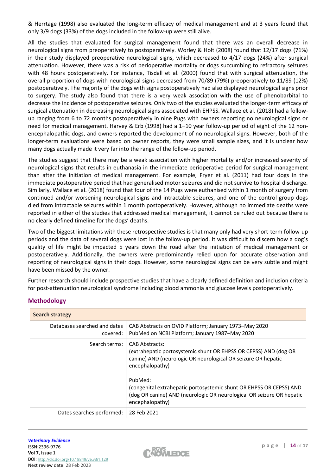& Herrtage (1998) also evaluated the long-term efficacy of medical management and at 3 years found that only 3/9 dogs (33%) of the dogs included in the follow-up were still alive.

All the studies that evaluated for surgical management found that there was an overall decrease in neurological signs from preoperatively to postoperatively. Worley & Holt (2008) found that 12/17 dogs (71%) in their study displayed preoperative neurological signs, which decreased to 4/17 dogs (24%) after surgical attenuation. However, there was a risk of perioperative mortality or dogs succumbing to refractory seizures with 48 hours postoperatively. For instance, Tisdall et al. (2000) found that with surgical attenuation, the overall proportion of dogs with neurological signs decreased from 70/89 (79%) preoperatively to 11/89 (12%) postoperatively. The majority of the dogs with signs postoperatively had also displayed neurological signs prior to surgery. The study also found that there is a very weak association with the use of phenobarbital to decrease the incidence of postoperative seizures. Only two of the studies evaluated the longer-term efficacy of surgical attenuation in decreasing neurological signs associated with EHPSS. Wallace et al. (2018) had a followup ranging from 6 to 72 months postoperatively in nine Pugs with owners reporting no neurological signs or need for medical management. Harvey & Erb (1998) had a 1–10 year follow-up period of eight of the 12 nonencephalopathic dogs, and owners reported the development of no neurological signs. However, both of the longer-term evaluations were based on owner reports, they were small sample sizes, and it is unclear how many dogs actually made it very far into the range of the follow-up period.

The studies suggest that there may be a weak association with higher mortality and/or increased severity of neurological signs that results in euthanasia in the immediate perioperative period for surgical management than after the initiation of medical management. For example, Fryer et al. (2011) had four dogs in the immediate postoperative period that had generalised motor seizures and did not survive to hospital discharge. Similarly, Wallace et al. (2018) found that four of the 14 Pugs were euthanised within 1 month of surgery from continued and/or worsening neurological signs and intractable seizures, and one of the control group dogs died from intractable seizures within 1 month postoperatively. However, although no immediate deaths were reported in either of the studies that addressed medical management, it cannot be ruled out because there is no clearly defined timeline for the dogs' deaths.

Two of the biggest limitations with these retrospective studies is that many only had very short-term follow-up periods and the data of several dogs were lost in the follow-up period. It was difficult to discern how a dog's quality of life might be impacted 5 years down the road after the initiation of medical management or postoperatively. Additionally, the owners were predominantly relied upon for accurate observation and reporting of neurological signs in their dogs. However, some neurological signs can be very subtle and might have been missed by the owner.

Further research should include prospective studies that have a clearly defined definition and inclusion criteria for post-attenuation neurological syndrome including blood ammonia and glucose levels postoperatively.

| <b>Search strategy</b>                   |                                                                                                                                                                                                                                                                                                                                                             |
|------------------------------------------|-------------------------------------------------------------------------------------------------------------------------------------------------------------------------------------------------------------------------------------------------------------------------------------------------------------------------------------------------------------|
| Databases searched and dates<br>covered: | CAB Abstracts on OVID Platform; January 1973-May 2020<br>PubMed on NCBI Platform; January 1987-May 2020                                                                                                                                                                                                                                                     |
| Search terms:                            | <b>CAB Abstracts:</b><br>(extrahepatic portosystemic shunt OR EHPSS OR CEPSS) AND (dog OR<br>canine) AND (neurologic OR neurological OR seizure OR hepatic<br>encephalopathy)<br>PubMed:<br>(congenital extrahepatic portosystemic shunt OR EHPSS OR CEPSS) AND<br>(dog OR canine) AND (neurologic OR neurological OR seizure OR hepatic<br>encephalopathy) |
| Dates searches performed:                | 28 Feb 2021                                                                                                                                                                                                                                                                                                                                                 |

# **Methodology**

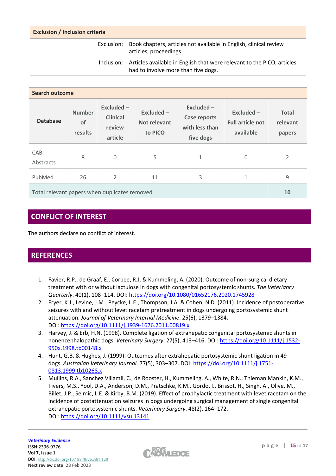| <b>Exclusion / Inclusion criteria</b> |                                                                                                               |  |  |
|---------------------------------------|---------------------------------------------------------------------------------------------------------------|--|--|
| Exclusion:                            | Book chapters, articles not available in English, clinical review<br>articles, proceedings.                   |  |  |
| Inclusion:                            | Articles available in English that were relevant to the PICO, articles<br>had to involve more than five dogs. |  |  |

| <b>Search outcome</b>                         |                                |                                                   |                                              |                                                                 |                                                    |                                    |
|-----------------------------------------------|--------------------------------|---------------------------------------------------|----------------------------------------------|-----------------------------------------------------------------|----------------------------------------------------|------------------------------------|
| <b>Database</b>                               | <b>Number</b><br>of<br>results | Excluded-<br><b>Clinical</b><br>review<br>article | Excluded -<br><b>Not relevant</b><br>to PICO | Excluded-<br><b>Case reports</b><br>with less than<br>five dogs | Excluded -<br><b>Full article not</b><br>available | <b>Total</b><br>relevant<br>papers |
| CAB<br>Abstracts                              | 8                              | $\Omega$                                          | 5                                            | 1                                                               | 0                                                  | $\overline{2}$                     |
| PubMed                                        | 26                             | 2                                                 | 11                                           | 3                                                               | 1                                                  | 9                                  |
| Total relevant papers when duplicates removed |                                |                                                   |                                              | 10                                                              |                                                    |                                    |

# **CONFLICT OF INTEREST**

The authors declare no conflict of interest.

# **REFERENCES**

- 1. Favier, R.P., de Graaf, E., Corbee, R.J. & Kummeling, A. (2020). Outcome of non-surgical dietary treatment with or without lactulose in dogs with congenital portosystemic shunts. *The Veterianry Quarterly*. 40(1), 108–114. DOI: <https://doi.org/10.1080/01652176.2020.1745928>
- 2. Fryer, K.J., Levine, J.M., Peycke, L.E., Thompson, J.A. & Cohen, N.D. (2011). Incidence of postoperative seizures with and without levetiracetam pretreatment in dogs undergoing portosystemic shunt attenuation. *Journal of Veterinary Internal Medicine*. 25(6), 1379–1384. DOI: <https://doi.org/10.1111/j.1939-1676.2011.00819.x>
- 3. Harvey, J. & Erb, H.N. (1998). Complete ligation of extrahepatic congenital portosystemic shunts in nonencephalopathic dogs. *Veterinary Surgery*. 27(5), 413–416. DOI: [https://doi.org/10.1111/j.1532-](https://doi.org/10.1111/j.1532-950x.1998.tb00148.x) [950x.1998.tb00148.x](https://doi.org/10.1111/j.1532-950x.1998.tb00148.x)
- 4. Hunt, G.B. & Hughes, J. (1999). Outcomes after extrahepatic portosystemic shunt ligation in 49 dogs. *Australian Veterinary Journal*. 77(5), 303–307. DOI: [https://doi.org/10.1111/j.1751-](https://doi.org/10.1111/j.1751-0813.1999.tb10268.x) [0813.1999.tb10268.x](https://doi.org/10.1111/j.1751-0813.1999.tb10268.x)
- 5. Mullins, R.A., Sanchez Villamil, C., de Rooster, H., Kummeling, A., White, R.N., Thieman Mankin, K.M., Tivers, M.S., Yool, D.A., Anderson, D.M., Pratschke, K.M., Gordo, I., Brissot, H., Singh, A., Olive, M., Billet, J.P., Selmic, L.E. & Kirby, B.M. (2019). Effect of prophylactic treatment with levetiracetam on the incidence of postattenuation seizures in dogs undergoing surgical management of single congenital extrahepatic portosystemic shunts. *Veterinary Surgery*. 48(2), 164–172. DOI: <https://doi.org/10.1111/vsu.13141>

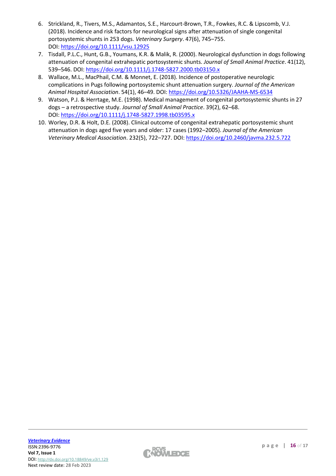- 6. Strickland, R., Tivers, M.S., Adamantos, S.E., Harcourt-Brown, T.R., Fowkes, R.C. & Lipscomb, V.J. (2018). Incidence and risk factors for neurological signs after attenuation of single congenital portosystemic shunts in 253 dogs. *Veterinary Surgery*. 47(6), 745–755. DOI: <https://doi.org/10.1111/vsu.12925>
- 7. Tisdall, P.L.C., Hunt, G.B., Youmans, K.R. & Malik, R. (2000). Neurological dysfunction in dogs following attenuation of congenital extrahepatic portosystemic shunts. *Journal of Small Animal Practice*. 41(12), 539–546. DOI: <https://doi.org/10.1111/j.1748-5827.2000.tb03150.x>
- 8. Wallace, M.L., MacPhail, C.M. & Monnet, E. (2018). Incidence of postoperative neurologic complications in Pugs following portosystemic shunt attenuation surgery. *Journal of the American Animal Hospital Association*. 54(1), 46–49. DOI: <https://doi.org/10.5326/JAAHA-MS-6534>
- 9. Watson, P.J. & Herrtage, M.E. (1998). Medical management of congenital portosystemic shunts in 27 dogs – a retrospective study. *Journal of Small Animal Practice*. 39(2), 62–68. DOI: <https://doi.org/10.1111/j.1748-5827.1998.tb03595.x>
- 10. Worley, D.R. & Holt, D.E. (2008). Clinical outcome of congenital extrahepatic portosystemic shunt attenuation in dogs aged five years and older: 17 cases (1992–2005). *Journal of the American Veterinary Medical Association*. 232(5), 722–727. DOI: <https://doi.org/10.2460/javma.232.5.722>